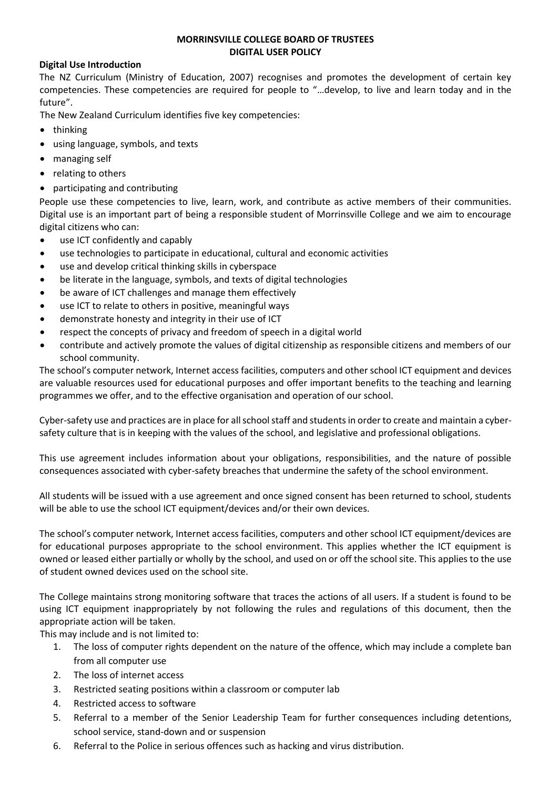#### **MORRINSVILLE COLLEGE BOARD OF TRUSTEES DIGITAL USER POLICY**

#### **Digital Use Introduction**

The NZ Curriculum (Ministry of Education, 2007) recognises and promotes the development of certain key competencies. These competencies are required for people to "…develop, to live and learn today and in the future".

The New Zealand Curriculum identifies five key competencies:

- thinking
- using language, symbols, and texts
- managing self
- relating to others
- participating and contributing

People use these competencies to live, learn, work, and contribute as active members of their communities. Digital use is an important part of being a responsible student of Morrinsville College and we aim to encourage digital citizens who can:

- use ICT confidently and capably
- use technologies to participate in educational, cultural and economic activities
- use and develop critical thinking skills in cyberspace
- be literate in the language, symbols, and texts of digital technologies
- be aware of ICT challenges and manage them effectively
- use ICT to relate to others in positive, meaningful ways
- demonstrate honesty and integrity in their use of ICT
- respect the concepts of privacy and freedom of speech in a digital world
- contribute and actively promote the values of digital citizenship as responsible citizens and members of our school community.

The school's computer network, Internet access facilities, computers and other school ICT equipment and devices are valuable resources used for educational purposes and offer important benefits to the teaching and learning programmes we offer, and to the effective organisation and operation of our school.

Cyber-safety use and practices are in place for all school staff and students in order to create and maintain a cybersafety culture that is in keeping with the values of the school, and legislative and professional obligations.

This use agreement includes information about your obligations, responsibilities, and the nature of possible consequences associated with cyber-safety breaches that undermine the safety of the school environment.

All students will be issued with a use agreement and once signed consent has been returned to school, students will be able to use the school ICT equipment/devices and/or their own devices.

The school's computer network, Internet access facilities, computers and other school ICT equipment/devices are for educational purposes appropriate to the school environment. This applies whether the ICT equipment is owned or leased either partially or wholly by the school, and used on or off the school site. This applies to the use of student owned devices used on the school site.

The College maintains strong monitoring software that traces the actions of all users. If a student is found to be using ICT equipment inappropriately by not following the rules and regulations of this document, then the appropriate action will be taken.

This may include and is not limited to:

- 1. The loss of computer rights dependent on the nature of the offence, which may include a complete ban from all computer use
- 2. The loss of internet access
- 3. Restricted seating positions within a classroom or computer lab
- 4. Restricted access to software
- 5. Referral to a member of the Senior Leadership Team for further consequences including detentions, school service, stand-down and or suspension
- 6. Referral to the Police in serious offences such as hacking and virus distribution.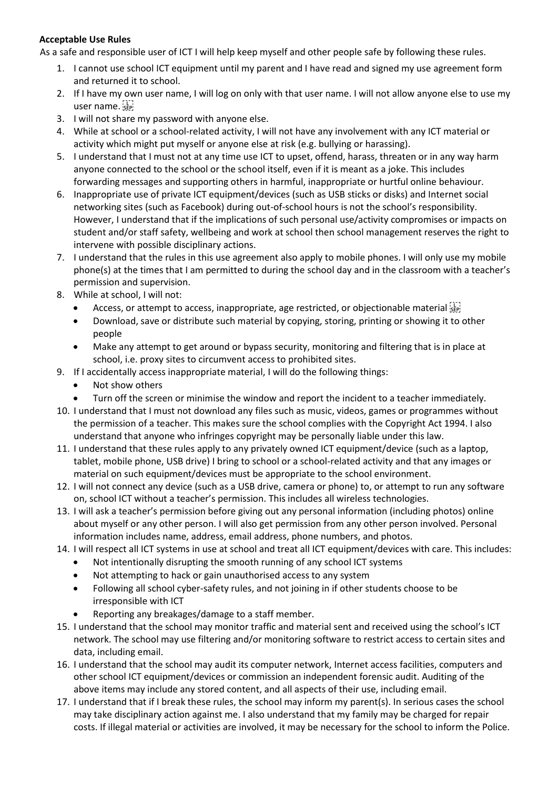### **Acceptable Use Rules**

As a safe and responsible user of ICT I will help keep myself and other people safe by following these rules.

- 1. I cannot use school ICT equipment until my parent and I have read and signed my use agreement form and returned it to school.
- 2. If I have my own user name, I will log on only with that user name. I will not allow anyone else to use my user name.
- 3. I will not share my password with anyone else.
- 4. While at school or a school-related activity, I will not have any involvement with any ICT material or activity which might put myself or anyone else at risk (e.g. bullying or harassing).
- 5. I understand that I must not at any time use ICT to upset, offend, harass, threaten or in any way harm anyone connected to the school or the school itself, even if it is meant as a joke. This includes forwarding messages and supporting others in harmful, inappropriate or hurtful online behaviour.
- 6. Inappropriate use of private ICT equipment/devices (such as USB sticks or disks) and Internet social networking sites (such as Facebook) during out-of-school hours is not the school's responsibility. However, I understand that if the implications of such personal use/activity compromises or impacts on student and/or staff safety, wellbeing and work at school then school management reserves the right to intervene with possible disciplinary actions.
- 7. I understand that the rules in this use agreement also apply to mobile phones. I will only use my mobile phone(s) at the times that I am permitted to during the school day and in the classroom with a teacher's permission and supervision.
- 8. While at school, I will not:
	- Access, or attempt to access, inappropriate, age restricted, or objectionable material
	- Download, save or distribute such material by copying, storing, printing or showing it to other people
	- Make any attempt to get around or bypass security, monitoring and filtering that is in place at school, i.e. proxy sites to circumvent access to prohibited sites.
- 9. If I accidentally access inappropriate material, I will do the following things:
	- Not show others
	- Turn off the screen or minimise the window and report the incident to a teacher immediately.
- 10. I understand that I must not download any files such as music, videos, games or programmes without the permission of a teacher. This makes sure the school complies with the Copyright Act 1994. I also understand that anyone who infringes copyright may be personally liable under this law.
- 11. I understand that these rules apply to any privately owned ICT equipment/device (such as a laptop, tablet, mobile phone, USB drive) I bring to school or a school-related activity and that any images or material on such equipment/devices must be appropriate to the school environment.
- 12. I will not connect any device (such as a USB drive, camera or phone) to, or attempt to run any software on, school ICT without a teacher's permission. This includes all wireless technologies.
- 13. I will ask a teacher's permission before giving out any personal information (including photos) online about myself or any other person. I will also get permission from any other person involved. Personal information includes name, address, email address, phone numbers, and photos.
- 14. I will respect all ICT systems in use at school and treat all ICT equipment/devices with care. This includes:
	- Not intentionally disrupting the smooth running of any school ICT systems
	- Not attempting to hack or gain unauthorised access to any system
	- Following all school cyber-safety rules, and not joining in if other students choose to be irresponsible with ICT
	- Reporting any breakages/damage to a staff member.
- 15. I understand that the school may monitor traffic and material sent and received using the school's ICT network. The school may use filtering and/or monitoring software to restrict access to certain sites and data, including email.
- 16. I understand that the school may audit its computer network, Internet access facilities, computers and other school ICT equipment/devices or commission an independent forensic audit. Auditing of the above items may include any stored content, and all aspects of their use, including email.
- 17. I understand that if I break these rules, the school may inform my parent(s). In serious cases the school may take disciplinary action against me. I also understand that my family may be charged for repair costs. If illegal material or activities are involved, it may be necessary for the school to inform the Police.